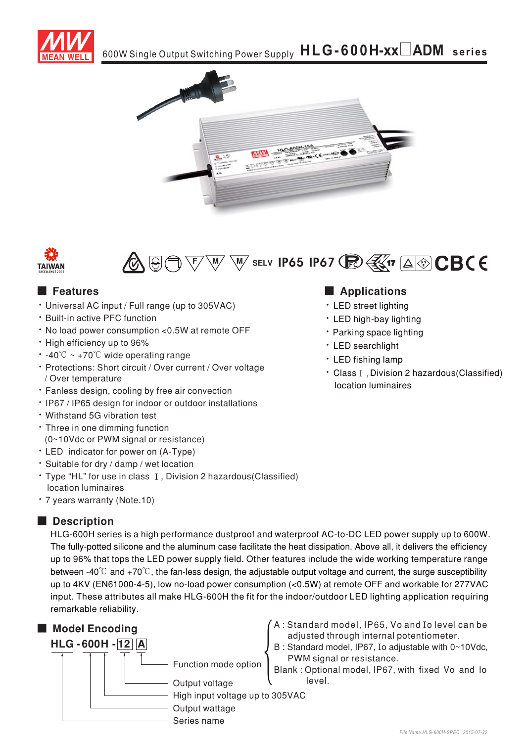







## **Execution** Features

- Universal AC input / Full range (up to 305VAC)
- \* Built-in active PFC function
- . No load power consumption < 0.5W at remote OFF
- · High efficiency up to 96%
- $\cdot$  -40°C ~ +70°C wide operating range
- Protections: Short circuit / Over current / Over voltage / Over temperature
- · Fanless design, cooling by free air convection
- . IP67 / IP65 design for indoor or outdoor installations
- . Withstand 5G vibration test
- Three in one dimming function (0~10Vdc or PWM signal or resistance)
- LED indicator for power on (A-Type)
- · Suitable for dry / damp / wet location
- Type "HL" for use in class I, Division 2 hazardous(Classified) location luminaires
- \* 7 years warranty (Note.10)

# Description

HLG-600H series is a high performance dustproof and waterproof AC-to-DC LED power supply up to 600W. The fully-potted silicone and the aluminum case facilitate the heat dissipation. Above all, it delivers the efficiency up to 96% that tops the LED power supply field. Other features include the wide working temperature range between -40 $\degree$ C and +70 $\degree$ C, the fan-less design, the adjustable output voltage and current, the surge susceptibility up to 4KV (EN61000-4-5), low no-load power consumption (<0.5W) at remote OFF and workable for 277VAC input. These attributes all make HLG-600H the fit for the indoor/outdoor LED lighting application requiring remarkable reliability.



## Applications

- LED street lighting
- LED high-bay lighting
- Parking space lighting
- LED searchlight
- LED fishing lamp
- Class I. Division 2 hazardous (Classified) location luminaires

- A: Standard model, IP65, Vo and Io level can be adjusted through internal potentiometer.
- B: Standard model, IP67, Io adjustable with 0~10Vdc, PWM signal or resistance.

Blank: Optional model, IP67, with fixed Vo and Io level.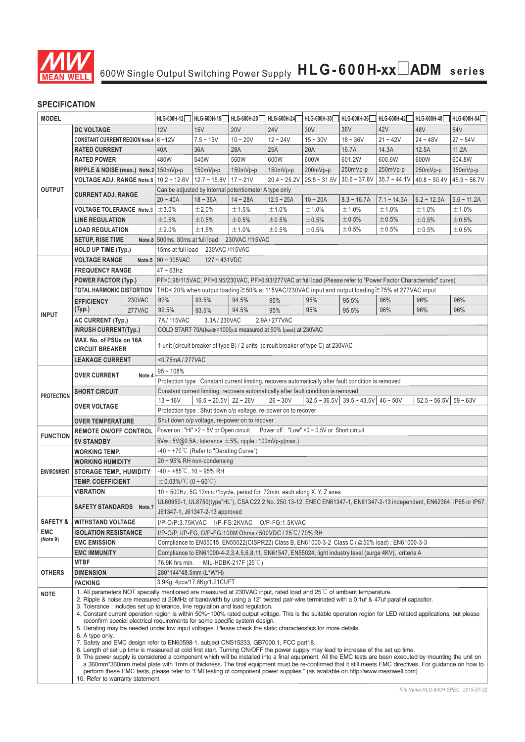

### **SPECIFICATION**

| <b>MODEL</b>        |                                                                                                                                                                                                                                                                                                                                                                                                                                                                                                                                                                                                                                                                                                                                                                                                                                                                                                                                                                                                                                                                                                                                                                                                                                                                                                                                                                                                                                  | HLG-600H-12 | HLG-600H-15                                                                                                                                                                                   | HLG-600H-20                    | HLG-600H-24                                                   | HLG-600H-30    | HLG-600H-36    | HLG-600H-42                                                                                                       | HLG-600H-48    | HLG-600H-54    |                                                                                                                        |  |  |  |
|---------------------|----------------------------------------------------------------------------------------------------------------------------------------------------------------------------------------------------------------------------------------------------------------------------------------------------------------------------------------------------------------------------------------------------------------------------------------------------------------------------------------------------------------------------------------------------------------------------------------------------------------------------------------------------------------------------------------------------------------------------------------------------------------------------------------------------------------------------------------------------------------------------------------------------------------------------------------------------------------------------------------------------------------------------------------------------------------------------------------------------------------------------------------------------------------------------------------------------------------------------------------------------------------------------------------------------------------------------------------------------------------------------------------------------------------------------------|-------------|-----------------------------------------------------------------------------------------------------------------------------------------------------------------------------------------------|--------------------------------|---------------------------------------------------------------|----------------|----------------|-------------------------------------------------------------------------------------------------------------------|----------------|----------------|------------------------------------------------------------------------------------------------------------------------|--|--|--|
|                     |                                                                                                                                                                                                                                                                                                                                                                                                                                                                                                                                                                                                                                                                                                                                                                                                                                                                                                                                                                                                                                                                                                                                                                                                                                                                                                                                                                                                                                  |             |                                                                                                                                                                                               |                                |                                                               |                |                |                                                                                                                   |                | 48V            | 54V                                                                                                                    |  |  |  |
|                     | <b>DC VOLTAGE</b>                                                                                                                                                                                                                                                                                                                                                                                                                                                                                                                                                                                                                                                                                                                                                                                                                                                                                                                                                                                                                                                                                                                                                                                                                                                                                                                                                                                                                |             | 12V                                                                                                                                                                                           | 15V                            | <b>20V</b>                                                    | <b>24V</b>     | 30V            | 36V                                                                                                               | 42V            |                |                                                                                                                        |  |  |  |
|                     | CONSTANT CURRENT REGION Note.4 6~12V                                                                                                                                                                                                                                                                                                                                                                                                                                                                                                                                                                                                                                                                                                                                                                                                                                                                                                                                                                                                                                                                                                                                                                                                                                                                                                                                                                                             |             |                                                                                                                                                                                               | $7.5 - 15V$                    | $10 - 20V$                                                    | $12 - 24V$     | $15 - 30V$     | $18 - 36V$                                                                                                        | $21 - 42V$     | $24 - 48V$     | $27 - 54V$                                                                                                             |  |  |  |
|                     | <b>RATED CURRENT</b>                                                                                                                                                                                                                                                                                                                                                                                                                                                                                                                                                                                                                                                                                                                                                                                                                                                                                                                                                                                                                                                                                                                                                                                                                                                                                                                                                                                                             |             | 40A                                                                                                                                                                                           | 36A                            | 28A                                                           | 25A            | 20A            | 16.7A                                                                                                             | 14.3A          | 12.5A          | 11.2A                                                                                                                  |  |  |  |
|                     | <b>RATED POWER</b>                                                                                                                                                                                                                                                                                                                                                                                                                                                                                                                                                                                                                                                                                                                                                                                                                                                                                                                                                                                                                                                                                                                                                                                                                                                                                                                                                                                                               |             | 480W                                                                                                                                                                                          | 540W                           | 560W                                                          | 600W           | 600W           | 601.2W                                                                                                            | 600.6W         | 600W           | 604.8W                                                                                                                 |  |  |  |
|                     | RIPPLE & NOISE (max.) Note.2 150mVp-p                                                                                                                                                                                                                                                                                                                                                                                                                                                                                                                                                                                                                                                                                                                                                                                                                                                                                                                                                                                                                                                                                                                                                                                                                                                                                                                                                                                            |             |                                                                                                                                                                                               | $150mVp-p$                     | 150mVp-p                                                      | 150mVp-p       | 200mVp-p       | 250mVp-p                                                                                                          | 250mVp-p       | 250mVp-p       | 350mVp-p                                                                                                               |  |  |  |
|                     | VOLTAGE ADJ. RANGE Note.6   10.2 ~ 12.6V   12.7 ~ 15.8V   17 ~ 21V                                                                                                                                                                                                                                                                                                                                                                                                                                                                                                                                                                                                                                                                                                                                                                                                                                                                                                                                                                                                                                                                                                                                                                                                                                                                                                                                                               |             |                                                                                                                                                                                               |                                |                                                               | $20.4 - 25.2V$ | $25.5 - 31.5V$ | $30.6 - 37.8V$                                                                                                    | $35.7 - 44.1V$ | $40.8 - 50.4V$ | $45.9 - 56.7V$                                                                                                         |  |  |  |
| <b>OUTPUT</b>       | <b>CURRENT ADJ. RANGE</b>                                                                                                                                                                                                                                                                                                                                                                                                                                                                                                                                                                                                                                                                                                                                                                                                                                                                                                                                                                                                                                                                                                                                                                                                                                                                                                                                                                                                        |             |                                                                                                                                                                                               |                                | Can be adjusted by internal potentiometer A type only         |                |                |                                                                                                                   |                |                |                                                                                                                        |  |  |  |
|                     |                                                                                                                                                                                                                                                                                                                                                                                                                                                                                                                                                                                                                                                                                                                                                                                                                                                                                                                                                                                                                                                                                                                                                                                                                                                                                                                                                                                                                                  |             | $20 - 40A$                                                                                                                                                                                    | $18 - 36A$                     | $14 - 28A$                                                    | $12.5 - 25A$   | $10 - 20A$     | $8.3 - 16.7A$                                                                                                     | $7.1 - 14.3A$  | $6.2 - 12.5A$  | $5.6 - 11.2A$                                                                                                          |  |  |  |
|                     | <b>VOLTAGE TOLERANCE Note.3</b>                                                                                                                                                                                                                                                                                                                                                                                                                                                                                                                                                                                                                                                                                                                                                                                                                                                                                                                                                                                                                                                                                                                                                                                                                                                                                                                                                                                                  |             | ±3.0%                                                                                                                                                                                         | ±2.0%                          | ±1.5%                                                         | ±1.0%          | ±1.0%          | ±1.0%                                                                                                             | ±1.0%          | ±1.0%          | ±1.0%                                                                                                                  |  |  |  |
|                     | <b>LINE REGULATION</b>                                                                                                                                                                                                                                                                                                                                                                                                                                                                                                                                                                                                                                                                                                                                                                                                                                                                                                                                                                                                                                                                                                                                                                                                                                                                                                                                                                                                           |             | ±0.5%                                                                                                                                                                                         | ±0.5%                          | ±0.5%                                                         | ±0.5%          | ±0.5%          | ±0.5%                                                                                                             | ±0.5%          | ±0.5%          | ±0.5%                                                                                                                  |  |  |  |
|                     | <b>LOAD REGULATION</b>                                                                                                                                                                                                                                                                                                                                                                                                                                                                                                                                                                                                                                                                                                                                                                                                                                                                                                                                                                                                                                                                                                                                                                                                                                                                                                                                                                                                           |             | ±2.0%                                                                                                                                                                                         | ±1.5%                          | ±1.0%                                                         | ±0.5%          | ±0.5%          | ±0.5%                                                                                                             | ±0.5%          | ±0.5%          | ±0.5%                                                                                                                  |  |  |  |
|                     | <b>SETUP, RISE TIME</b>                                                                                                                                                                                                                                                                                                                                                                                                                                                                                                                                                                                                                                                                                                                                                                                                                                                                                                                                                                                                                                                                                                                                                                                                                                                                                                                                                                                                          |             | Note.8 500ms, 80ms at full load                                                                                                                                                               |                                | 230VAC /115VAC                                                |                |                |                                                                                                                   |                |                |                                                                                                                        |  |  |  |
|                     | <b>HOLD UP TIME (Typ.)</b>                                                                                                                                                                                                                                                                                                                                                                                                                                                                                                                                                                                                                                                                                                                                                                                                                                                                                                                                                                                                                                                                                                                                                                                                                                                                                                                                                                                                       |             | 15ms at full load                                                                                                                                                                             | 230VAC /115VAC                 |                                                               |                |                |                                                                                                                   |                |                |                                                                                                                        |  |  |  |
|                     | <b>VOLTAGE RANGE</b>                                                                                                                                                                                                                                                                                                                                                                                                                                                                                                                                                                                                                                                                                                                                                                                                                                                                                                                                                                                                                                                                                                                                                                                                                                                                                                                                                                                                             |             | Note.5 $90 \sim 305$ VAC                                                                                                                                                                      | $127 - 431VDC$                 |                                                               |                |                |                                                                                                                   |                |                |                                                                                                                        |  |  |  |
|                     | <b>FREQUENCY RANGE</b>                                                                                                                                                                                                                                                                                                                                                                                                                                                                                                                                                                                                                                                                                                                                                                                                                                                                                                                                                                                                                                                                                                                                                                                                                                                                                                                                                                                                           |             | $47 \sim 63$ Hz                                                                                                                                                                               |                                |                                                               |                |                |                                                                                                                   |                |                |                                                                                                                        |  |  |  |
|                     | <b>POWER FACTOR (Typ.)</b>                                                                                                                                                                                                                                                                                                                                                                                                                                                                                                                                                                                                                                                                                                                                                                                                                                                                                                                                                                                                                                                                                                                                                                                                                                                                                                                                                                                                       |             |                                                                                                                                                                                               |                                |                                                               |                |                | PF>0.98/115VAC, PF>0.95/230VAC, PF>0.93/277VAC at full load (Please refer to "Power Factor Characteristic" curve) |                |                |                                                                                                                        |  |  |  |
|                     | TOTAL HARMONIC DISTORTION                                                                                                                                                                                                                                                                                                                                                                                                                                                                                                                                                                                                                                                                                                                                                                                                                                                                                                                                                                                                                                                                                                                                                                                                                                                                                                                                                                                                        |             | THD<20% when output loading≧50% at 115VAC/230VAC input and output loading≧75% at 277VAC input                                                                                                 |                                |                                                               |                |                |                                                                                                                   |                |                |                                                                                                                        |  |  |  |
|                     | <b>EFFICIENCY</b>                                                                                                                                                                                                                                                                                                                                                                                                                                                                                                                                                                                                                                                                                                                                                                                                                                                                                                                                                                                                                                                                                                                                                                                                                                                                                                                                                                                                                | 230VAC      | 92%                                                                                                                                                                                           | 93.5%                          | 94.5%                                                         | 95%            | 95%            | 95.5%                                                                                                             | 96%            | 96%            | 96%                                                                                                                    |  |  |  |
| <b>INPUT</b>        | (Typ.)                                                                                                                                                                                                                                                                                                                                                                                                                                                                                                                                                                                                                                                                                                                                                                                                                                                                                                                                                                                                                                                                                                                                                                                                                                                                                                                                                                                                                           | 277VAC      | 92.5%                                                                                                                                                                                         | 93.5%                          | 94.5%                                                         | 95%            | 95%            | 95.5%                                                                                                             | 96%            | 96%            | 96%                                                                                                                    |  |  |  |
|                     | <b>AC CURRENT (Typ.)</b>                                                                                                                                                                                                                                                                                                                                                                                                                                                                                                                                                                                                                                                                                                                                                                                                                                                                                                                                                                                                                                                                                                                                                                                                                                                                                                                                                                                                         |             | 7A/115VAC                                                                                                                                                                                     | 3.3A/230VAC                    |                                                               | 2.9A / 277VAC  |                |                                                                                                                   |                |                |                                                                                                                        |  |  |  |
|                     | <b>INRUSH CURRENT(Typ.)</b>                                                                                                                                                                                                                                                                                                                                                                                                                                                                                                                                                                                                                                                                                                                                                                                                                                                                                                                                                                                                                                                                                                                                                                                                                                                                                                                                                                                                      |             |                                                                                                                                                                                               |                                | COLD START 70A(twidth=1000µs measured at 50% lpeak) at 230VAC |                |                |                                                                                                                   |                |                |                                                                                                                        |  |  |  |
|                     | MAX. No. of PSUs on 16A                                                                                                                                                                                                                                                                                                                                                                                                                                                                                                                                                                                                                                                                                                                                                                                                                                                                                                                                                                                                                                                                                                                                                                                                                                                                                                                                                                                                          |             |                                                                                                                                                                                               |                                |                                                               |                |                |                                                                                                                   |                |                |                                                                                                                        |  |  |  |
|                     | <b>CIRCUIT BREAKER</b>                                                                                                                                                                                                                                                                                                                                                                                                                                                                                                                                                                                                                                                                                                                                                                                                                                                                                                                                                                                                                                                                                                                                                                                                                                                                                                                                                                                                           |             | 1 unit (circuit breaker of type B) / 2 units (circuit breaker of type C) at 230VAC                                                                                                            |                                |                                                               |                |                |                                                                                                                   |                |                |                                                                                                                        |  |  |  |
|                     | <b>LEAKAGE CURRENT</b>                                                                                                                                                                                                                                                                                                                                                                                                                                                                                                                                                                                                                                                                                                                                                                                                                                                                                                                                                                                                                                                                                                                                                                                                                                                                                                                                                                                                           |             | <0.75mA / 277VAC                                                                                                                                                                              |                                |                                                               |                |                |                                                                                                                   |                |                |                                                                                                                        |  |  |  |
|                     | <b>OVER CURRENT</b>                                                                                                                                                                                                                                                                                                                                                                                                                                                                                                                                                                                                                                                                                                                                                                                                                                                                                                                                                                                                                                                                                                                                                                                                                                                                                                                                                                                                              | Note.4      | $95 - 108%$                                                                                                                                                                                   |                                |                                                               |                |                |                                                                                                                   |                |                |                                                                                                                        |  |  |  |
|                     |                                                                                                                                                                                                                                                                                                                                                                                                                                                                                                                                                                                                                                                                                                                                                                                                                                                                                                                                                                                                                                                                                                                                                                                                                                                                                                                                                                                                                                  |             | Protection type : Constant current limiting, recovers automatically after fault condition is removed                                                                                          |                                |                                                               |                |                |                                                                                                                   |                |                |                                                                                                                        |  |  |  |
|                     | <b>SHORT CIRCUIT</b>                                                                                                                                                                                                                                                                                                                                                                                                                                                                                                                                                                                                                                                                                                                                                                                                                                                                                                                                                                                                                                                                                                                                                                                                                                                                                                                                                                                                             |             | Constant current limiting, recovers automatically after fault condition is removed                                                                                                            |                                |                                                               |                |                |                                                                                                                   |                |                |                                                                                                                        |  |  |  |
| <b>PROTECTION</b>   | <b>OVER VOLTAGE</b>                                                                                                                                                                                                                                                                                                                                                                                                                                                                                                                                                                                                                                                                                                                                                                                                                                                                                                                                                                                                                                                                                                                                                                                                                                                                                                                                                                                                              |             | $13 - 16V$<br>$16.5 \approx 20.5 \text{V}$ 22 ~ 26V<br>$26 - 30V$<br>$32.5 \approx 36.5 \text{V}$ 39.5 $\approx 43.5 \text{V}$ 46 $\approx 50 \text{V}$<br>$52.5 \sim 56.5 \text{V}$ 59 ~ 63V |                                |                                                               |                |                |                                                                                                                   |                |                |                                                                                                                        |  |  |  |
|                     |                                                                                                                                                                                                                                                                                                                                                                                                                                                                                                                                                                                                                                                                                                                                                                                                                                                                                                                                                                                                                                                                                                                                                                                                                                                                                                                                                                                                                                  |             | Protection type : Shut down o/p voltage, re-power on to recover                                                                                                                               |                                |                                                               |                |                |                                                                                                                   |                |                |                                                                                                                        |  |  |  |
|                     |                                                                                                                                                                                                                                                                                                                                                                                                                                                                                                                                                                                                                                                                                                                                                                                                                                                                                                                                                                                                                                                                                                                                                                                                                                                                                                                                                                                                                                  |             | Shut down o/p voltage, re-power on to recover                                                                                                                                                 |                                |                                                               |                |                |                                                                                                                   |                |                |                                                                                                                        |  |  |  |
|                     | <b>OVER TEMPERATURE</b>                                                                                                                                                                                                                                                                                                                                                                                                                                                                                                                                                                                                                                                                                                                                                                                                                                                                                                                                                                                                                                                                                                                                                                                                                                                                                                                                                                                                          |             | Power on : "Hi" > 2 ~ 5V or Open circuit Power off : "Low" < 0 ~ 0.5V or Short circuit                                                                                                        |                                |                                                               |                |                |                                                                                                                   |                |                |                                                                                                                        |  |  |  |
| <b>FUNCTION</b>     | <b>REMOTE ON/OFF CONTROL</b>                                                                                                                                                                                                                                                                                                                                                                                                                                                                                                                                                                                                                                                                                                                                                                                                                                                                                                                                                                                                                                                                                                                                                                                                                                                                                                                                                                                                     |             |                                                                                                                                                                                               |                                |                                                               |                |                |                                                                                                                   |                |                |                                                                                                                        |  |  |  |
|                     | <b>5V STANDBY</b>                                                                                                                                                                                                                                                                                                                                                                                                                                                                                                                                                                                                                                                                                                                                                                                                                                                                                                                                                                                                                                                                                                                                                                                                                                                                                                                                                                                                                |             | $5Vs_B: 5V@0.5A$ ; tolerance $\pm 5%$ , ripple : 100mVp-p(max.)                                                                                                                               |                                |                                                               |                |                |                                                                                                                   |                |                |                                                                                                                        |  |  |  |
|                     | <b>WORKING TEMP.</b>                                                                                                                                                                                                                                                                                                                                                                                                                                                                                                                                                                                                                                                                                                                                                                                                                                                                                                                                                                                                                                                                                                                                                                                                                                                                                                                                                                                                             |             | -40 $\sim$ +70°C (Refer to "Derating Curve")                                                                                                                                                  |                                |                                                               |                |                |                                                                                                                   |                |                |                                                                                                                        |  |  |  |
|                     | <b>WORKING HUMIDITY</b>                                                                                                                                                                                                                                                                                                                                                                                                                                                                                                                                                                                                                                                                                                                                                                                                                                                                                                                                                                                                                                                                                                                                                                                                                                                                                                                                                                                                          |             | 20~95% RH non-condensing                                                                                                                                                                      |                                |                                                               |                |                |                                                                                                                   |                |                |                                                                                                                        |  |  |  |
| <b>ENVIRONMENT</b>  | <b>STORAGE TEMP., HUMIDITY</b>                                                                                                                                                                                                                                                                                                                                                                                                                                                                                                                                                                                                                                                                                                                                                                                                                                                                                                                                                                                                                                                                                                                                                                                                                                                                                                                                                                                                   |             | $-40 \sim +85^{\circ}$ C, 10 ~ 95% RH                                                                                                                                                         |                                |                                                               |                |                |                                                                                                                   |                |                |                                                                                                                        |  |  |  |
|                     | <b>TEMP. COEFFICIENT</b>                                                                                                                                                                                                                                                                                                                                                                                                                                                                                                                                                                                                                                                                                                                                                                                                                                                                                                                                                                                                                                                                                                                                                                                                                                                                                                                                                                                                         |             | $\pm 0.03\%$ /°C (0 ~ 60°C)                                                                                                                                                                   |                                |                                                               |                |                |                                                                                                                   |                |                |                                                                                                                        |  |  |  |
|                     | <b>VIBRATION</b>                                                                                                                                                                                                                                                                                                                                                                                                                                                                                                                                                                                                                                                                                                                                                                                                                                                                                                                                                                                                                                                                                                                                                                                                                                                                                                                                                                                                                 |             | 10 ~ 500Hz, 5G 12min./1cycle, period for 72min. each along X, Y, Z axes                                                                                                                       |                                |                                                               |                |                |                                                                                                                   |                |                |                                                                                                                        |  |  |  |
|                     | SAFETY STANDARDS Note.7                                                                                                                                                                                                                                                                                                                                                                                                                                                                                                                                                                                                                                                                                                                                                                                                                                                                                                                                                                                                                                                                                                                                                                                                                                                                                                                                                                                                          |             |                                                                                                                                                                                               |                                |                                                               |                |                |                                                                                                                   |                |                | UL60950-1, UL8750(type"HL"), CSA C22.2 No. 250.13-12, ENEC EN61347-1, EN61347-2-13 independent, EN62384, IP65 or IP67, |  |  |  |
|                     |                                                                                                                                                                                                                                                                                                                                                                                                                                                                                                                                                                                                                                                                                                                                                                                                                                                                                                                                                                                                                                                                                                                                                                                                                                                                                                                                                                                                                                  |             |                                                                                                                                                                                               | J61347-1, J61347-2-13 approved |                                                               |                |                |                                                                                                                   |                |                |                                                                                                                        |  |  |  |
| <b>SAFETY &amp;</b> | <b>WITHSTAND VOLTAGE</b>                                                                                                                                                                                                                                                                                                                                                                                                                                                                                                                                                                                                                                                                                                                                                                                                                                                                                                                                                                                                                                                                                                                                                                                                                                                                                                                                                                                                         |             |                                                                                                                                                                                               |                                | I/P-O/P:3.75KVAC I/P-FG:2KVAC O/P-FG:1.5KVAC                  |                |                |                                                                                                                   |                |                |                                                                                                                        |  |  |  |
| <b>EMC</b>          | <b>ISOLATION RESISTANCE</b>                                                                                                                                                                                                                                                                                                                                                                                                                                                                                                                                                                                                                                                                                                                                                                                                                                                                                                                                                                                                                                                                                                                                                                                                                                                                                                                                                                                                      |             |                                                                                                                                                                                               |                                | I/P-O/P, I/P-FG, O/P-FG:100M Ohms / 500VDC / 25 °C/ 70% RH    |                |                |                                                                                                                   |                |                |                                                                                                                        |  |  |  |
| (Note 9)            | <b>EMC EMISSION</b>                                                                                                                                                                                                                                                                                                                                                                                                                                                                                                                                                                                                                                                                                                                                                                                                                                                                                                                                                                                                                                                                                                                                                                                                                                                                                                                                                                                                              |             |                                                                                                                                                                                               |                                |                                                               |                |                | Compliance to EN55015, EN55022(CISPR22) Class B, EN61000-3-2 Class C (≧50% load); EN61000-3-3                     |                |                |                                                                                                                        |  |  |  |
|                     | <b>EMC IMMUNITY</b>                                                                                                                                                                                                                                                                                                                                                                                                                                                                                                                                                                                                                                                                                                                                                                                                                                                                                                                                                                                                                                                                                                                                                                                                                                                                                                                                                                                                              |             | Compliance to EN61000-4-2,3,4,5,6,8,11, EN61547, EN55024, light industry level (surge 4KV), criteria A                                                                                        |                                |                                                               |                |                |                                                                                                                   |                |                |                                                                                                                        |  |  |  |
|                     | <b>MTBF</b>                                                                                                                                                                                                                                                                                                                                                                                                                                                                                                                                                                                                                                                                                                                                                                                                                                                                                                                                                                                                                                                                                                                                                                                                                                                                                                                                                                                                                      |             | 76.9K hrs min.<br>MIL-HDBK-217F $(25^{\circ}$ C)                                                                                                                                              |                                |                                                               |                |                |                                                                                                                   |                |                |                                                                                                                        |  |  |  |
| <b>OTHERS</b>       | <b>DIMENSION</b>                                                                                                                                                                                                                                                                                                                                                                                                                                                                                                                                                                                                                                                                                                                                                                                                                                                                                                                                                                                                                                                                                                                                                                                                                                                                                                                                                                                                                 |             | 280*144*48.5mm (L*W*H)                                                                                                                                                                        |                                |                                                               |                |                |                                                                                                                   |                |                |                                                                                                                        |  |  |  |
|                     | <b>PACKING</b>                                                                                                                                                                                                                                                                                                                                                                                                                                                                                                                                                                                                                                                                                                                                                                                                                                                                                                                                                                                                                                                                                                                                                                                                                                                                                                                                                                                                                   |             |                                                                                                                                                                                               | 3.9Kg; 4pcs/17.8Kg/1.21CUFT    |                                                               |                |                |                                                                                                                   |                |                |                                                                                                                        |  |  |  |
| <b>NOTE</b>         | 1. All parameters NOT specially mentioned are measured at 230VAC input, rated load and $25^{\circ}$ C of ambient temperature.<br>2. Ripple & noise are measured at 20MHz of bandwidth by using a 12" twisted pair-wire terminated with a 0.1uf & 47uf parallel capacitor.<br>3. Tolerance: includes set up tolerance, line regulation and load regulation.<br>4. Constant current operation region is within 50%~100% rated output voltage. This is the suitable operation region for LED related applications, but please<br>reconfirm special electrical requirements for some specific system design.<br>5. Derating may be needed under low input voltages. Please check the static characteristics for more details.<br>6. A type only.<br>7. Safety and EMC design refer to EN60598-1, subject CNS15233, GB7000.1, FCC part18.<br>8. Length of set up time is measured at cold first start. Turning ON/OFF the power supply may lead to increase of the set up time.<br>9. The power supply is considered a component which will be installed into a final equipment. All the EMC tests are been executed by mounting the unit on<br>a 360mm*360mm metal plate with 1mm of thickness. The final equipment must be re-confirmed that it still meets EMC directives. For guidance on how to<br>perform these EMC tests, please refer to "EMI testing of component power supplies." (as available on http://www.meanwell.com) |             |                                                                                                                                                                                               |                                |                                                               |                |                |                                                                                                                   |                |                |                                                                                                                        |  |  |  |
|                     | 10. Refer to warranty statement                                                                                                                                                                                                                                                                                                                                                                                                                                                                                                                                                                                                                                                                                                                                                                                                                                                                                                                                                                                                                                                                                                                                                                                                                                                                                                                                                                                                  |             |                                                                                                                                                                                               |                                |                                                               |                |                |                                                                                                                   |                |                |                                                                                                                        |  |  |  |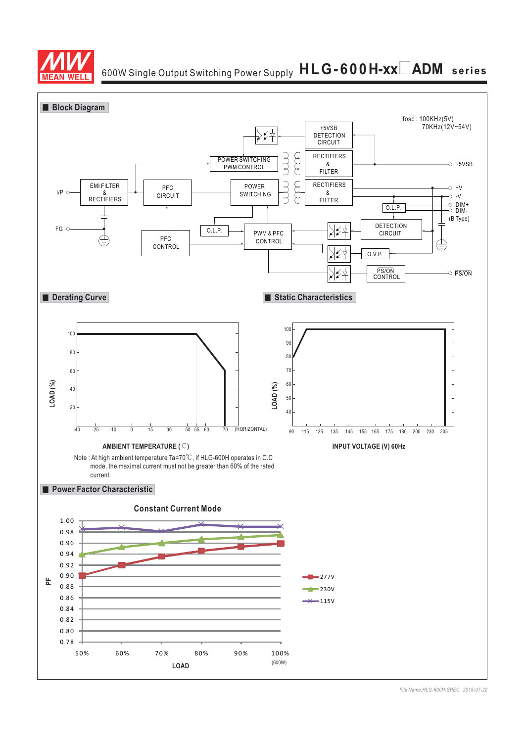

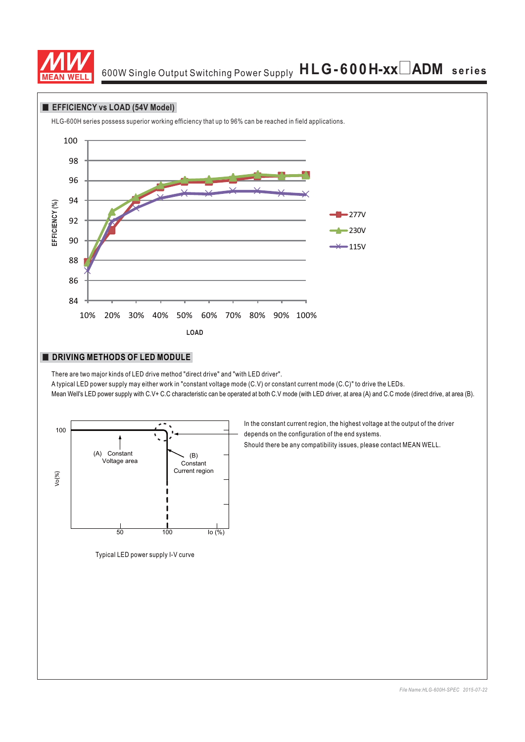

#### **EFFICIENCY** vs LOAD (54V Model)

HLG-600H series possess superior working efficiency that up to 96% can be reached in field applications.



#### **DRIVING METHODS OF LED MODULE**

There are two major kinds of LED drive method "direct drive" and "with LED driver".

A typical LED power supply may either work in "constant voltage mode (C.V) or constant current mode (C.C)" to drive the LEDs.

Mean Well's LED power supply with C.V+ C.C characteristic can be operated at both C.V mode (with LED driver, at area (A) and C.C mode (direct drive, at area (B).



Typical LED power supply I-V curve

In the constant current region, the highest voltage at the output of the driver depends on the configuration of the end systems.

Should there be any compatibility issues, please contact MEAN WELL.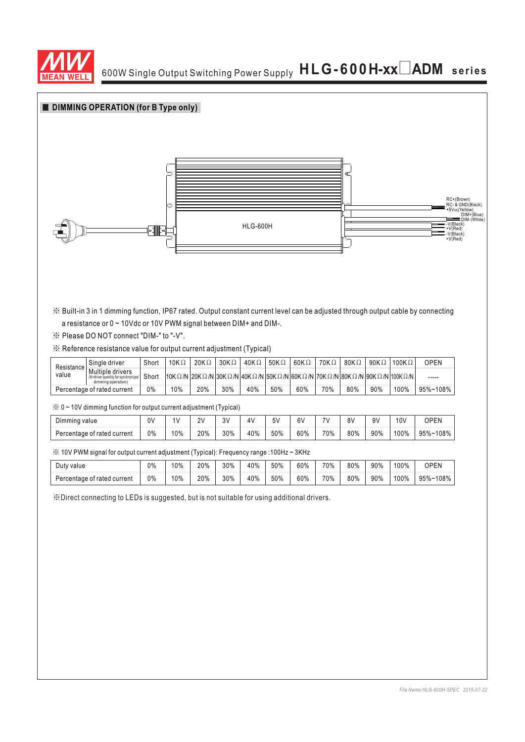



※ Built-in 3 in 1 dimming function, IP67 rated. Output constant current level can be adjusted through output cable by connecting a resistance or 0 ~ 10Vdc or 10V PWM signal between DIM+ and DIM-.

※ Please DO NOT connect "DIM-" to "-V".

#### ※ Reference resistance value for output current adjustment (Typical)

| Resistance<br>value         | . Sinale driver                                                               | Short | 10K $\Omega$                                                                                                                                                                                         | $20K\Omega$ | $30K\Omega$ | 40K $\Omega$ | 50K $\Omega$ | $60K\Omega$ | 70KΩ | 80K $\Omega$ | 90K $\Omega$ | 100K $\Omega$ | OPEN     |
|-----------------------------|-------------------------------------------------------------------------------|-------|------------------------------------------------------------------------------------------------------------------------------------------------------------------------------------------------------|-------------|-------------|--------------|--------------|-------------|------|--------------|--------------|---------------|----------|
|                             | Multiple drivers<br>(N=driver quantity for synchronized<br>dimming operation! | Short | $1$ 10K $\Omega$ /N $2$ 0K $\Omega$ /N $3$ 0K $\Omega$ /N $4$ 0K $\Omega$ /N $5$ 0K $\Omega$ /N $6$ 0K $\Omega$ /N $7$ 0K $\Omega$ /N $8$ 0K $\Omega$ /N $9$ 0K $\Omega$ /N $1$ 100K $\Omega$ /N $1$ |             |             |              |              |             |      |              |              |               | -----    |
| Percentage of rated current |                                                                               | $0\%$ | 10%                                                                                                                                                                                                  | 20%         | 30%         | 40%          | 50%          | 60%         | 70%  | 80%          | 90%          | 100%          | 95%~108% |

※ 0 ~ 10V dimming function for output current adjustment (Typical)

| n.<br>Dimming value         | 0 <sup>0</sup> | ι٧  | 2V<br>- | 3V  | $\Delta V$ | 5V  | 6V  | $\overline{\phantom{a}}$ | 8٧  | 9٧  | 10 <sub>V</sub> | OPEN            |
|-----------------------------|----------------|-----|---------|-----|------------|-----|-----|--------------------------|-----|-----|-----------------|-----------------|
| Percentage of rated current | 0%             | 10% | 20%     | 30% | 40%        | 50% | 60% | 70%                      | 80% | 90% | 100%            | 108%<br>$95% -$ |

※ 10V PWM signal for output current adjustment (Typical): Frequency range :100Hz ~ 3KHz

| Duty value                  | 0% | 10% | 20% | 30% | 40% | 50% | 60% | 70% | 80% | 90% | 100% | OPEN              |
|-----------------------------|----|-----|-----|-----|-----|-----|-----|-----|-----|-----|------|-------------------|
| Percentage of rated current | 0% | 10% | 20% | 30% | 40% | 50% | 60% | 70% | 80% | 90% | 100% | $95% - 1$<br>108% |

※Direct connecting to LEDs is suggested, but is not suitable for using additional drivers.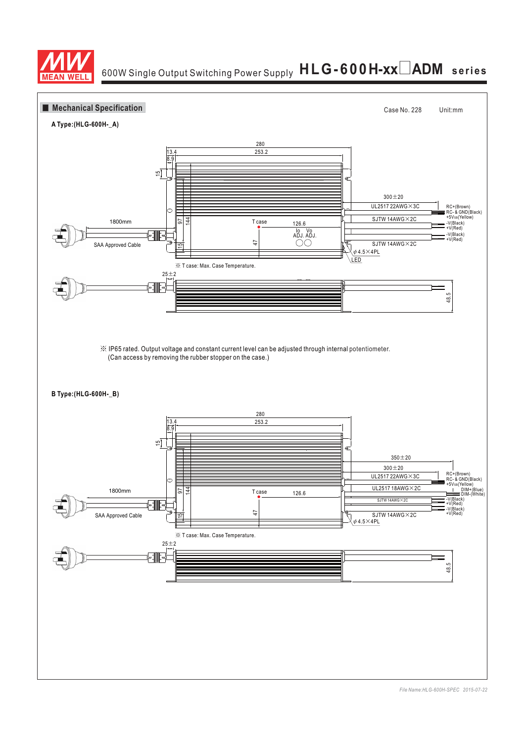

# <sup>6</sup>00W Single Output Switching Power Supply **HLG-600H-xx**0**ADM series**